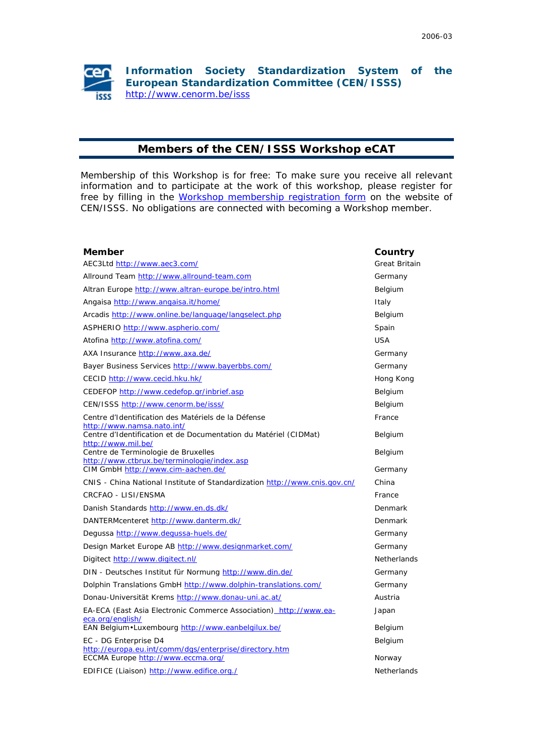

## **Members of the CEN/ISSS Workshop eCAT**

Membership of this Workshop is for free: To make sure you receive all relevant information and to participate at the work of this workshop, please register for free by filling in th[e Workshop membership registration form o](https://www.cenorm.be/cenorm/businessdomains/businessdomains/isss/pm/ws+membership.asp)n the website of CEN/ISSS. No obligations are connected with becoming a Workshop member.

| <b>Member</b>                                                                          | Country              |
|----------------------------------------------------------------------------------------|----------------------|
| AEC3Ltd http://www.aec3.com/                                                           | <b>Great Britain</b> |
| Allround Team http://www.allround-team.com                                             | Germany              |
| Altran Europe http://www.altran-europe.be/intro.html                                   | Belgium              |
| Angaisa http://www.angaisa.it/home/                                                    | Italy                |
| Arcadis http://www.online.be/language/langselect.php                                   | Belgium              |
| ASPHERIO http://www.aspherio.com/                                                      | Spain                |
| Atofina http://www.atofina.com/                                                        | <b>USA</b>           |
| AXA Insurance http://www.axa.de/                                                       | Germany              |
| Bayer Business Services http://www.bayerbbs.com/                                       | Germany              |
| CECID http://www.cecid.hku.hk/                                                         | Hong Kong            |
| CEDEFOP http://www.cedefop.gr/inbrief.asp                                              | Belgium              |
| CEN/ISSS http://www.cenorm.be/isss/                                                    | Belgium              |
| Centre d'Identification des Matériels de la Défense<br>http://www.namsa.nato.int/      | France               |
| Centre d'Identification et de Documentation du Matériel (CIDMat)<br>http://www.mil.be/ | Belgium              |
| Centre de Terminologie de Bruxelles<br>http://www.ctbrux.be/terminologie/index.asp     | Belgium              |
| CIM GmbH http://www.cim-aachen.de/                                                     | Germany              |
| CNIS - China National Institute of Standardization http://www.cnis.gov.cn/             | China                |
| CRCFAO - LISI/ENSMA                                                                    | France               |
| Danish Standards http://www.en.ds.dk/                                                  | Denmark              |
| DANTERMcenteret http://www.danterm.dk/                                                 | Denmark              |
| Degussa http://www.degussa-huels.de/                                                   | Germany              |
| Design Market Europe AB http://www.designmarket.com/                                   | Germany              |
| Digitect http://www.digitect.nl/                                                       | <b>Netherlands</b>   |
| DIN - Deutsches Institut für Normung http://www.din.de/                                | Germany              |
| Dolphin Translations GmbH http://www.dolphin-translations.com/                         | Germany              |
| Donau-Universität Krems http://www.donau-uni.ac.at/                                    | Austria              |
| EA-ECA (East Asia Electronic Commerce Association) http://www.ea-<br>eca.org/english/  | Japan                |
| EAN Belgium · Luxembourg http://www.eanbelgilux.be/                                    | Belgium              |
| EC - DG Enterprise D4<br>http://europa.eu.int/comm/dgs/enterprise/directory.htm        | Belgium              |
| ECCMA Europe http://www.eccma.org/                                                     | Norway               |
| EDIFICE (Liaison) http://www.edifice.org./                                             | <b>Netherlands</b>   |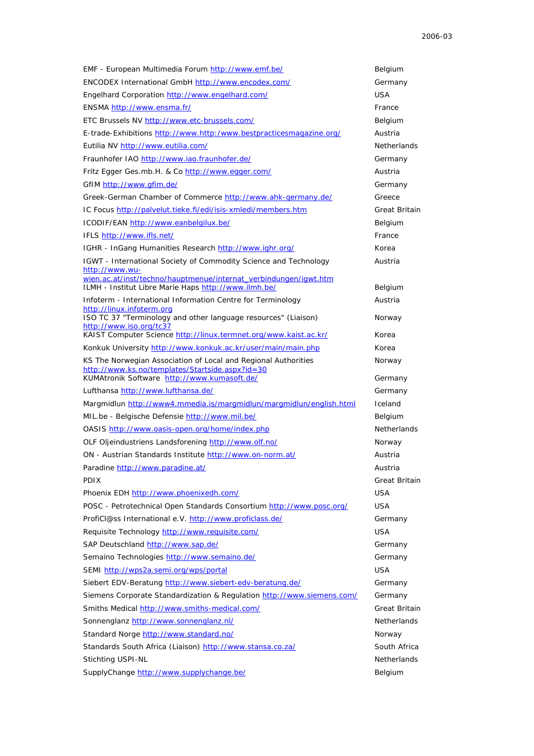| EMF - European Multimedia Forum http://www.emf.be/                                                                                                                | Belgium                       |
|-------------------------------------------------------------------------------------------------------------------------------------------------------------------|-------------------------------|
| ENCODEX International GmbH http://www.encodex.com/                                                                                                                | Germany                       |
| Engelhard Corporation http://www.engelhard.com/                                                                                                                   | USA                           |
| ENSMA http://www.ensma.fr/                                                                                                                                        | France                        |
| ETC Brussels NV http://www.etc-brussels.com/                                                                                                                      | Belgium                       |
| E-trade-Exhibitions http://www.http:/www.bestpracticesmagazine.org/                                                                                               | Austria                       |
| Eutilia NV http://www.eutilia.com/                                                                                                                                | <b>Netherlands</b>            |
| Fraunhofer IAO http://www.iao.fraunhofer.de/                                                                                                                      | Germany                       |
| Fritz Egger Ges.mb.H. & Co http://www.egger.com/                                                                                                                  | Austria                       |
| GfIM http://www.gfim.de/                                                                                                                                          | Germany                       |
| Greek-German Chamber of Commerce http://www.ahk-germany.de/                                                                                                       | Greece                        |
| IC Focus http://palvelut.tieke.fi/edi/isis-xmledi/members.htm                                                                                                     | Great Britain                 |
| ICODIF/EAN http://www.eanbelgilux.be/                                                                                                                             | Belgium                       |
| IFLS http://www.ifls.net/                                                                                                                                         | France                        |
| IGHR - InGang Humanities Research http://www.ighr.org/                                                                                                            | Korea                         |
| IGWT - International Society of Commodity Science and Technology                                                                                                  | Austria                       |
| http://www.wu-<br>wien.ac.at/inst/techno/hauptmenue/internat_verbindungen/igwt.htm                                                                                |                               |
| ILMH - Institut Libre Marie Haps http://www.ilmh.be/                                                                                                              | Belgium                       |
| Infoterm - International Information Centre for Terminology                                                                                                       | Austria                       |
| http://linux.infoterm.org<br>ISO TC 37 "Terminology and other language resources" (Liaison)                                                                       | Norway                        |
| http://www.iso.org/tc37                                                                                                                                           |                               |
| KAIST Computer Science http://linux.termnet.org/www.kaist.ac.kr/                                                                                                  | Korea                         |
| Konkuk University http://www.konkuk.ac.kr/user/main/main.php                                                                                                      | Korea                         |
| KS The Norwegian Association of Local and Regional Authorities<br>http://www.ks.no/templates/Startside.aspx?id=30                                                 | Norway                        |
| KUMAtronik Software http://www.kumasoft.de/                                                                                                                       | Germany                       |
| Lufthansa http://www.lufthansa.de/                                                                                                                                | Germany                       |
| Margmidlun http://www4.mmedia.is/margmidlun/margmidlun/english.html                                                                                               | Iceland                       |
|                                                                                                                                                                   |                               |
| MIL.be - Belgische Defensie http://www.mil.be/                                                                                                                    | Belgium                       |
| OASIS http://www.oasis-open.org/home/index.php                                                                                                                    | <b>Netherlands</b>            |
| OLF Oljeindustriens Landsforening http://www.olf.no/                                                                                                              | Norway                        |
| ON - Austrian Standards Institute http://www.on-norm.at/                                                                                                          | Austria                       |
| Paradine http://www.paradine.at/                                                                                                                                  | Austria                       |
| <b>PDIX</b>                                                                                                                                                       | Great Britain                 |
| Phoenix EDH http://www.phoenixedh.com/                                                                                                                            | <b>USA</b>                    |
| POSC - Petrotechnical Open Standards Consortium http://www.posc.org/                                                                                              | USA                           |
| ProfiCl@ss International e.V. http://www.proficlass.de/                                                                                                           | Germany                       |
| Requisite Technology http://www.requisite.com/                                                                                                                    | USA                           |
| SAP Deutschland http://www.sap.de/                                                                                                                                | Germany                       |
| Semaino Technologies http://www.semaino.de/                                                                                                                       | Germany                       |
| SEMI http://wps2a.semi.org/wps/portal                                                                                                                             | <b>USA</b>                    |
| Siebert EDV-Beratung http://www.siebert-edv-beratung.de/                                                                                                          | Germany                       |
|                                                                                                                                                                   | Germany                       |
|                                                                                                                                                                   | Great Britain                 |
| Siemens Corporate Standardization & Regulation http://www.siemens.com/<br>Smiths Medical http://www.smiths-medical.com/<br>Sonnenglanz http://www.sonnenglanz.nl/ | <b>Netherlands</b>            |
| Standard Norge http://www.standard.no/                                                                                                                            | Norway                        |
| Standards South Africa (Liaison) http://www.stansa.co.za/                                                                                                         | South Africa                  |
| Stichting USPI-NL<br>SupplyChange http://www.supplychange.be/                                                                                                     | <b>Netherlands</b><br>Belgium |